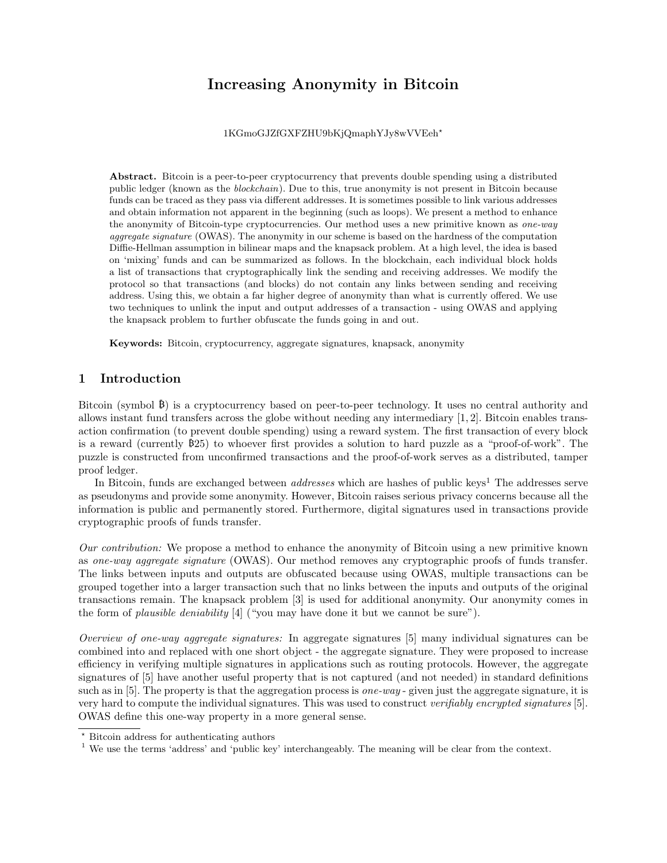# Increasing Anonymity in Bitcoin

1KGmoGJZfGXFZHU9bKjQmaphYJy8wVVEeh?

Abstract. Bitcoin is a peer-to-peer cryptocurrency that prevents double spending using a distributed public ledger (known as the blockchain). Due to this, true anonymity is not present in Bitcoin because funds can be traced as they pass via different addresses. It is sometimes possible to link various addresses and obtain information not apparent in the beginning (such as loops). We present a method to enhance the anonymity of Bitcoin-type cryptocurrencies. Our method uses a new primitive known as *one-way* aggregate signature (OWAS). The anonymity in our scheme is based on the hardness of the computation Diffie-Hellman assumption in bilinear maps and the knapsack problem. At a high level, the idea is based on 'mixing' funds and can be summarized as follows. In the blockchain, each individual block holds a list of transactions that cryptographically link the sending and receiving addresses. We modify the protocol so that transactions (and blocks) do not contain any links between sending and receiving address. Using this, we obtain a far higher degree of anonymity than what is currently offered. We use two techniques to unlink the input and output addresses of a transaction - using OWAS and applying the knapsack problem to further obfuscate the funds going in and out.

Keywords: Bitcoin, cryptocurrency, aggregate signatures, knapsack, anonymity

## 1 Introduction

Bitcoin (symbol  $\beta$ ) is a cryptocurrency based on peer-to-peer technology. It uses no central authority and allows instant fund transfers across the globe without needing any intermediary [1, 2]. Bitcoin enables transaction confirmation (to prevent double spending) using a reward system. The first transaction of every block is a reward (currently 25) to whoever first provides a solution to hard puzzle as a "proof-of-work". The puzzle is constructed from unconfirmed transactions and the proof-of-work serves as a distributed, tamper proof ledger.

In Bitcoin, funds are exchanged between *addresses* which are hashes of public keys<sup>1</sup> The addresses serve as pseudonyms and provide some anonymity. However, Bitcoin raises serious privacy concerns because all the information is public and permanently stored. Furthermore, digital signatures used in transactions provide cryptographic proofs of funds transfer.

Our contribution: We propose a method to enhance the anonymity of Bitcoin using a new primitive known as one-way aggregate signature (OWAS). Our method removes any cryptographic proofs of funds transfer. The links between inputs and outputs are obfuscated because using OWAS, multiple transactions can be grouped together into a larger transaction such that no links between the inputs and outputs of the original transactions remain. The knapsack problem [3] is used for additional anonymity. Our anonymity comes in the form of plausible deniability [4] ("you may have done it but we cannot be sure").

Overview of one-way aggregate signatures: In aggregate signatures [5] many individual signatures can be combined into and replaced with one short object - the aggregate signature. They were proposed to increase efficiency in verifying multiple signatures in applications such as routing protocols. However, the aggregate signatures of [5] have another useful property that is not captured (and not needed) in standard definitions such as in [5]. The property is that the aggregation process is *one-way* - given just the aggregate signature, it is very hard to compute the individual signatures. This was used to construct verifiably encrypted signatures [5]. OWAS define this one-way property in a more general sense.

<sup>?</sup> Bitcoin address for authenticating authors

<sup>&</sup>lt;sup>1</sup> We use the terms 'address' and 'public key' interchangeably. The meaning will be clear from the context.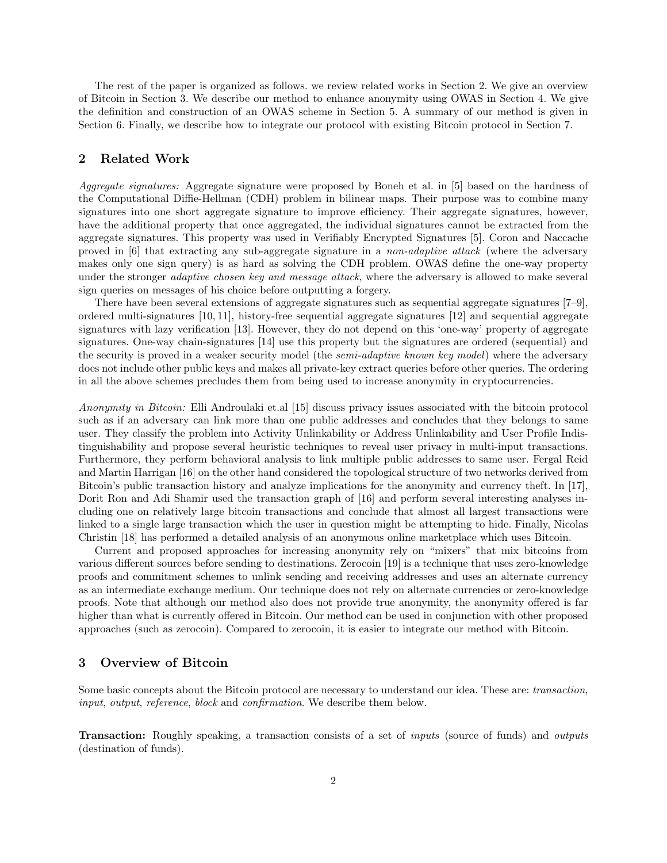The rest of the paper is organized as follows. we review related works in Section 2. We give an overview of Bitcoin in Section 3. We describe our method to enhance anonymity using OWAS in Section 4. We give the definition and construction of an OWAS scheme in Section 5. A summary of our method is given in Section 6. Finally, we describe how to integrate our protocol with existing Bitcoin protocol in Section 7.

## 2 Related Work

Aggregate signatures: Aggregate signature were proposed by Boneh et al. in [5] based on the hardness of the Computational Diffie-Hellman (CDH) problem in bilinear maps. Their purpose was to combine many signatures into one short aggregate signature to improve efficiency. Their aggregate signatures, however, have the additional property that once aggregated, the individual signatures cannot be extracted from the aggregate signatures. This property was used in Verifiably Encrypted Signatures [5]. Coron and Naccache proved in [6] that extracting any sub-aggregate signature in a non-adaptive attack (where the adversary makes only one sign query) is as hard as solving the CDH problem. OWAS define the one-way property under the stronger *adaptive chosen key and message attack*, where the adversary is allowed to make several sign queries on messages of his choice before outputting a forgery.

There have been several extensions of aggregate signatures such as sequential aggregate signatures [7–9], ordered multi-signatures [10, 11], history-free sequential aggregate signatures [12] and sequential aggregate signatures with lazy verification [13]. However, they do not depend on this 'one-way' property of aggregate signatures. One-way chain-signatures [14] use this property but the signatures are ordered (sequential) and the security is proved in a weaker security model (the *semi-adaptive known key model*) where the adversary does not include other public keys and makes all private-key extract queries before other queries. The ordering in all the above schemes precludes them from being used to increase anonymity in cryptocurrencies.

Anonymity in Bitcoin: Elli Androulaki et.al [15] discuss privacy issues associated with the bitcoin protocol such as if an adversary can link more than one public addresses and concludes that they belongs to same user. They classify the problem into Activity Unlinkability or Address Unlinkability and User Profile Indistinguishability and propose several heuristic techniques to reveal user privacy in multi-input transactions. Furthermore, they perform behavioral analysis to link multiple public addresses to same user. Fergal Reid and Martin Harrigan [16] on the other hand considered the topological structure of two networks derived from Bitcoin's public transaction history and analyze implications for the anonymity and currency theft. In [17], Dorit Ron and Adi Shamir used the transaction graph of [16] and perform several interesting analyses including one on relatively large bitcoin transactions and conclude that almost all largest transactions were linked to a single large transaction which the user in question might be attempting to hide. Finally, Nicolas Christin [18] has performed a detailed analysis of an anonymous online marketplace which uses Bitcoin.

Current and proposed approaches for increasing anonymity rely on "mixers" that mix bitcoins from various different sources before sending to destinations. Zerocoin [19] is a technique that uses zero-knowledge proofs and commitment schemes to unlink sending and receiving addresses and uses an alternate currency as an intermediate exchange medium. Our technique does not rely on alternate currencies or zero-knowledge proofs. Note that although our method also does not provide true anonymity, the anonymity offered is far higher than what is currently offered in Bitcoin. Our method can be used in conjunction with other proposed approaches (such as zerocoin). Compared to zerocoin, it is easier to integrate our method with Bitcoin.

#### 3 Overview of Bitcoin

Some basic concepts about the Bitcoin protocol are necessary to understand our idea. These are: transaction, input, output, reference, block and confirmation. We describe them below.

Transaction: Roughly speaking, a transaction consists of a set of inputs (source of funds) and outputs (destination of funds).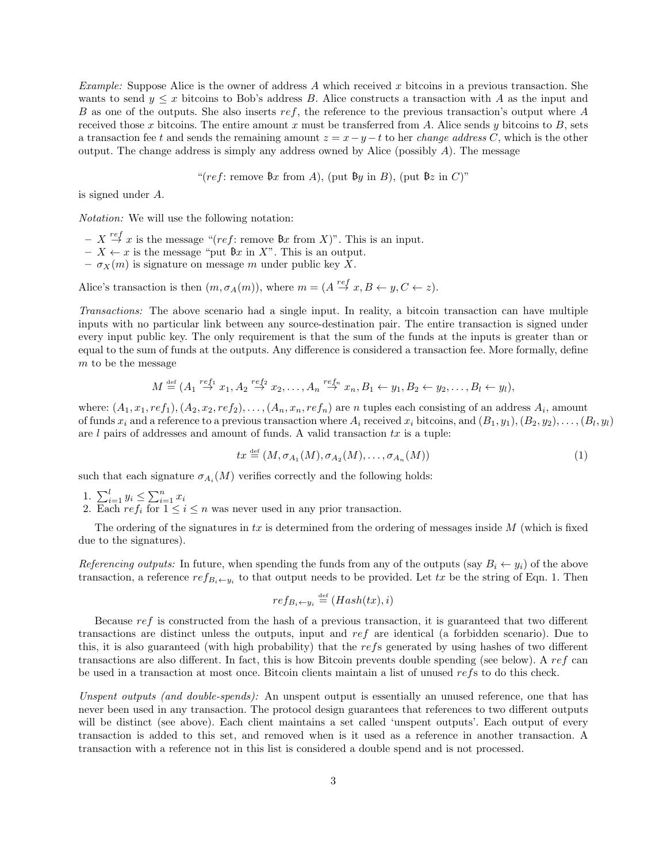*Example:* Suppose Alice is the owner of address A which received x bitcoins in a previous transaction. She wants to send  $y \leq x$  bitcoins to Bob's address B. Alice constructs a transaction with A as the input and B as one of the outputs. She also inserts ref, the reference to the previous transaction's output where A received those x bitcoins. The entire amount x must be transferred from A. Alice sends y bitcoins to  $B$ , sets a transaction fee t and sends the remaining amount  $z = x - y - t$  to her *change address C*, which is the other output. The change address is simply any address owned by Alice (possibly  $A$ ). The message

"(ref: remove  $\mathfrak{B}_x$  from A), (put  $\mathfrak{B}_y$  in B), (put  $\mathfrak{B}_z$  in C)"

is signed under A.

Notation: We will use the following notation:

- $X \stackrel{ref}{\rightarrow} x$  is the message "(ref: remove  $\mathcal{B}x$  from X)". This is an input.
- $-X \leftarrow x$  is the message "put  $\mathfrak{B}x$  in X". This is an output.
- $-\sigma_X(m)$  is signature on message m under public key X.

Alice's transaction is then  $(m, \sigma_A(m))$ , where  $m = (A \stackrel{ref}{\rightarrow} x, B \leftarrow y, C \leftarrow z)$ .

Transactions: The above scenario had a single input. In reality, a bitcoin transaction can have multiple inputs with no particular link between any source-destination pair. The entire transaction is signed under every input public key. The only requirement is that the sum of the funds at the inputs is greater than or equal to the sum of funds at the outputs. Any difference is considered a transaction fee. More formally, define m to be the message

$$
M \stackrel{\text{def}}{=} (A_1 \stackrel{ref_1}{\rightarrow} x_1, A_2 \stackrel{ref_2}{\rightarrow} x_2, \dots, A_n \stackrel{ref_n}{\rightarrow} x_n, B_1 \leftarrow y_1, B_2 \leftarrow y_2, \dots, B_l \leftarrow y_l),
$$

where:  $(A_1, x_1, ref_1), (A_2, x_2, ref_2), \ldots, (A_n, x_n, ref_n)$  are n tuples each consisting of an address  $A_i$ , amount of funds  $x_i$  and a reference to a previous transaction where  $A_i$  received  $x_i$  bitcoins, and  $(B_1,y_1), (B_2,y_2), \ldots, (B_l,y_l)$ are l pairs of addresses and amount of funds. A valid transaction  $tx$  is a tuple:

$$
tx \stackrel{\text{def}}{=} (M, \sigma_{A_1}(M), \sigma_{A_2}(M), \dots, \sigma_{A_n}(M))
$$
\n<sup>(1)</sup>

such that each signature  $\sigma_{A_i}(M)$  verifies correctly and the following holds:

1.  $\sum_{i=1}^{l} y_i \leq \sum_{i=1}^{n} x_i$ 

2. Each  $ref_i$  for  $1 \leq i \leq n$  was never used in any prior transaction.

The ordering of the signatures in tx is determined from the ordering of messages inside  $M$  (which is fixed due to the signatures).

Referencing outputs: In future, when spending the funds from any of the outputs (say  $B_i \leftarrow y_i$ ) of the above transaction, a reference  $ref_{B_i\leftarrow y_i}$  to that output needs to be provided. Let tx be the string of Eqn. 1. Then

$$
ref_{B_i \leftarrow y_i} \stackrel{\text{def}}{=} (Hash(tx), i)
$$

Because ref is constructed from the hash of a previous transaction, it is guaranteed that two different transactions are distinct unless the outputs, input and ref are identical (a forbidden scenario). Due to this, it is also guaranteed (with high probability) that the refs generated by using hashes of two different transactions are also different. In fact, this is how Bitcoin prevents double spending (see below). A ref can be used in a transaction at most once. Bitcoin clients maintain a list of unused refs to do this check.

Unspent outputs (and double-spends): An unspent output is essentially an unused reference, one that has never been used in any transaction. The protocol design guarantees that references to two different outputs will be distinct (see above). Each client maintains a set called 'unspent outputs'. Each output of every transaction is added to this set, and removed when is it used as a reference in another transaction. A transaction with a reference not in this list is considered a double spend and is not processed.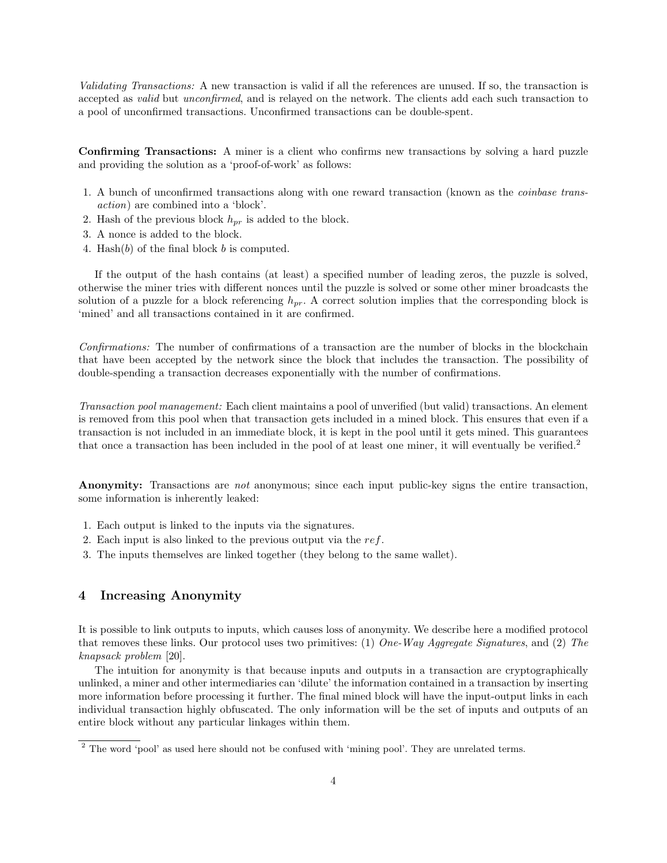Validating Transactions: A new transaction is valid if all the references are unused. If so, the transaction is accepted as valid but unconfirmed, and is relayed on the network. The clients add each such transaction to a pool of unconfirmed transactions. Unconfirmed transactions can be double-spent.

Confirming Transactions: A miner is a client who confirms new transactions by solving a hard puzzle and providing the solution as a 'proof-of-work' as follows:

- 1. A bunch of unconfirmed transactions along with one reward transaction (known as the coinbase transaction) are combined into a 'block'.
- 2. Hash of the previous block  $h_{pr}$  is added to the block.
- 3. A nonce is added to the block.
- 4. Hash(b) of the final block b is computed.

If the output of the hash contains (at least) a specified number of leading zeros, the puzzle is solved, otherwise the miner tries with different nonces until the puzzle is solved or some other miner broadcasts the solution of a puzzle for a block referencing  $h_{pr}$ . A correct solution implies that the corresponding block is 'mined' and all transactions contained in it are confirmed.

Confirmations: The number of confirmations of a transaction are the number of blocks in the blockchain that have been accepted by the network since the block that includes the transaction. The possibility of double-spending a transaction decreases exponentially with the number of confirmations.

Transaction pool management: Each client maintains a pool of unverified (but valid) transactions. An element is removed from this pool when that transaction gets included in a mined block. This ensures that even if a transaction is not included in an immediate block, it is kept in the pool until it gets mined. This guarantees that once a transaction has been included in the pool of at least one miner, it will eventually be verified.<sup>2</sup>

Anonymity: Transactions are *not* anonymous; since each input public-key signs the entire transaction, some information is inherently leaked:

- 1. Each output is linked to the inputs via the signatures.
- 2. Each input is also linked to the previous output via the  $ref$ .
- 3. The inputs themselves are linked together (they belong to the same wallet).

## 4 Increasing Anonymity

It is possible to link outputs to inputs, which causes loss of anonymity. We describe here a modified protocol that removes these links. Our protocol uses two primitives: (1) One-Way Aggregate Signatures, and (2) The knapsack problem [20].

The intuition for anonymity is that because inputs and outputs in a transaction are cryptographically unlinked, a miner and other intermediaries can 'dilute' the information contained in a transaction by inserting more information before processing it further. The final mined block will have the input-output links in each individual transaction highly obfuscated. The only information will be the set of inputs and outputs of an entire block without any particular linkages within them.

<sup>&</sup>lt;sup>2</sup> The word 'pool' as used here should not be confused with 'mining pool'. They are unrelated terms.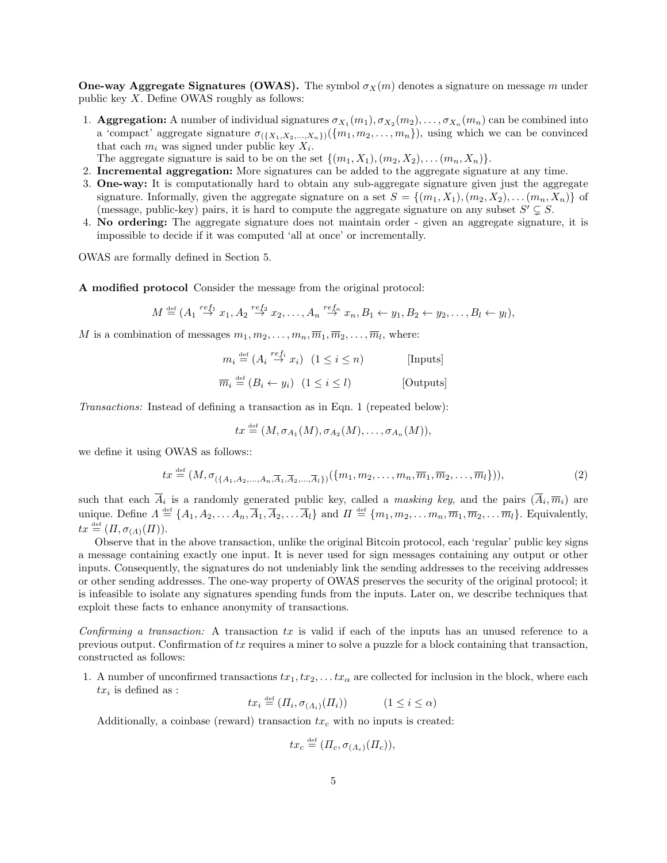**One-way Aggregate Signatures (OWAS).** The symbol  $\sigma_X(m)$  denotes a signature on message m under public key X. Define OWAS roughly as follows:

- 1. **Aggregation:** A number of individual signatures  $\sigma_{X_1}(m_1), \sigma_{X_2}(m_2), \ldots, \sigma_{X_n}(m_n)$  can be combined into a 'compact' aggregate signature  $\sigma_{(\{X_1,X_2,...,X_n\})}(\{m_1,m_2,...,m_n\})$ , using which we can be convinced that each  $m_i$  was signed under public key  $X_i$ .
- The aggregate signature is said to be on the set  $\{(m_1, X_1), (m_2, X_2), \ldots (m_n, X_n)\}.$
- 2. Incremental aggregation: More signatures can be added to the aggregate signature at any time.
- 3. One-way: It is computationally hard to obtain any sub-aggregate signature given just the aggregate signature. Informally, given the aggregate signature on a set  $S = \{(m_1, X_1), (m_2, X_2), \ldots (m_n, X_n)\}\$ of (message, public-key) pairs, it is hard to compute the aggregate signature on any subset  $S' \subsetneq S$ .
- 4. No ordering: The aggregate signature does not maintain order given an aggregate signature, it is impossible to decide if it was computed 'all at once' or incrementally.

OWAS are formally defined in Section 5.

A modified protocol Consider the message from the original protocol:

$$
M \stackrel{\text{def}}{=} (A_1 \stackrel{ref_1}{\rightarrow} x_1, A_2 \stackrel{ref_2}{\rightarrow} x_2, \dots, A_n \stackrel{ref_n}{\rightarrow} x_n, B_1 \leftarrow y_1, B_2 \leftarrow y_2, \dots, B_l \leftarrow y_l),
$$

M is a combination of messages  $m_1, m_2, \ldots, m_n, \overline{m}_1, \overline{m}_2, \ldots, \overline{m}_l$ , where:

- $m_i \stackrel{\text{def}}{=} (A_i \stackrel{ref_i}{\to} x_i) \ (1 \leq i \leq n)$  [Inputs]
- $\overline{m}_i \stackrel{\text{def}}{=} (B_i \leftarrow y_i) \ (1 \leq i \leq l)$  [Outputs]

Transactions: Instead of defining a transaction as in Eqn. 1 (repeated below):

$$
tx \stackrel{\text{def}}{=} (M, \sigma_{A_1}(M), \sigma_{A_2}(M), \ldots, \sigma_{A_n}(M)),
$$

we define it using OWAS as follows::

$$
tx \stackrel{\text{def}}{=} (M, \sigma_{(\{A_1, A_2, \dots, A_n, \overline{A}_1, \overline{A}_2, \dots, \overline{A}_l\})}(\{m_1, m_2, \dots, m_n, \overline{m}_1, \overline{m}_2, \dots, \overline{m}_l\})),
$$
(2)

such that each  $\overline{A}_i$  is a randomly generated public key, called a *masking key*, and the pairs  $(\overline{A}_i, \overline{m}_i)$  are unique. Define  $\Lambda \stackrel{\text{def}}{=} \{A_1, A_2, \ldots A_n, \overline{A}_1, \overline{A}_2, \ldots \overline{A}_l\}$  and  $\Pi \stackrel{\text{def}}{=} \{m_1, m_2, \ldots m_n, \overline{m}_1, \overline{m}_2, \ldots \overline{m}_l\}$ . Equivalently,  $tx \stackrel{\text{def}}{=} (\Pi, \sigma_{(\Lambda)}(\Pi)).$ 

Observe that in the above transaction, unlike the original Bitcoin protocol, each 'regular' public key signs a message containing exactly one input. It is never used for sign messages containing any output or other inputs. Consequently, the signatures do not undeniably link the sending addresses to the receiving addresses or other sending addresses. The one-way property of OWAS preserves the security of the original protocol; it is infeasible to isolate any signatures spending funds from the inputs. Later on, we describe techniques that exploit these facts to enhance anonymity of transactions.

Confirming a transaction: A transaction tx is valid if each of the inputs has an unused reference to a previous output. Confirmation of tx requires a miner to solve a puzzle for a block containing that transaction, constructed as follows:

1. A number of unconfirmed transactions  $tx_1, tx_2, \ldots tx_\alpha$  are collected for inclusion in the block, where each  $tx_i$  is defined as :

 $tx_i \stackrel{\text{def}}{=} (I_i, \sigma_{(A_i)}(I_i))$   $(1 \leq i \leq \alpha)$ 

Additionally, a coinbase (reward) transaction  $tx_c$  with no inputs is created:

$$
tx_c \stackrel{\text{def}}{=} ( \Pi_c, \sigma_{(\Lambda_c)}(\Pi_c)),
$$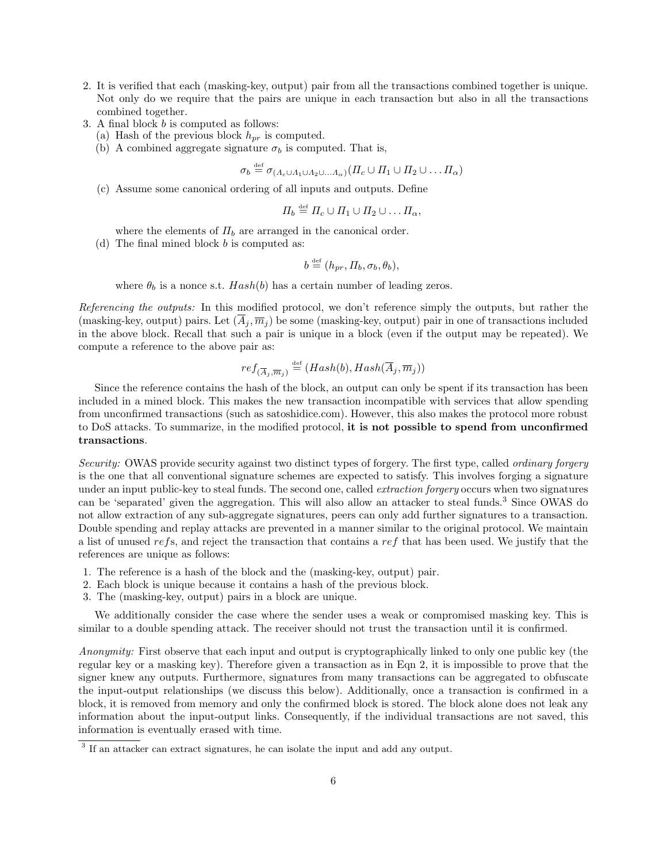- 2. It is verified that each (masking-key, output) pair from all the transactions combined together is unique. Not only do we require that the pairs are unique in each transaction but also in all the transactions combined together.
- 3. A final block b is computed as follows:
	- (a) Hash of the previous block  $h_{pr}$  is computed.
	- (b) A combined aggregate signature  $\sigma_b$  is computed. That is,

 $\sigma_b \stackrel{\text{def}}{=} \sigma_{(A_c \cup A_1 \cup A_2 \cup ... A_{\alpha})} ( \varPi_c \cup \varPi_1 \cup \varPi_2 \cup ... \varPi_{\alpha})$ 

(c) Assume some canonical ordering of all inputs and outputs. Define

$$
\Pi_b \stackrel{\text{def}}{=} \Pi_c \cup \Pi_1 \cup \Pi_2 \cup \dots \Pi_{\alpha},
$$

where the elements of  $\Pi_b$  are arranged in the canonical order.

(d) The final mined block  $b$  is computed as:

$$
b \stackrel{\text{def}}{=} (h_{pr}, \Pi_b, \sigma_b, \theta_b),
$$

where  $\theta_b$  is a nonce s.t.  $Hash(b)$  has a certain number of leading zeros.

Referencing the outputs: In this modified protocol, we don't reference simply the outputs, but rather the (masking-key, output) pairs. Let  $(A_i, \overline{m}_i)$  be some (masking-key, output) pair in one of transactions included in the above block. Recall that such a pair is unique in a block (even if the output may be repeated). We compute a reference to the above pair as:

$$
ref_{(\overline{A}_j, \overline{m}_j)} \stackrel{\text{def}}{=} (Hash(b), Hash(\overline{A}_j, \overline{m}_j))
$$

Since the reference contains the hash of the block, an output can only be spent if its transaction has been included in a mined block. This makes the new transaction incompatible with services that allow spending from unconfirmed transactions (such as satoshidice.com). However, this also makes the protocol more robust to DoS attacks. To summarize, in the modified protocol, it is not possible to spend from unconfirmed transactions.

Security: OWAS provide security against two distinct types of forgery. The first type, called ordinary forgery is the one that all conventional signature schemes are expected to satisfy. This involves forging a signature under an input public-key to steal funds. The second one, called *extraction forgery* occurs when two signatures can be 'separated' given the aggregation. This will also allow an attacker to steal funds.<sup>3</sup> Since OWAS do not allow extraction of any sub-aggregate signatures, peers can only add further signatures to a transaction. Double spending and replay attacks are prevented in a manner similar to the original protocol. We maintain a list of unused refs, and reject the transaction that contains a ref that has been used. We justify that the references are unique as follows:

- 1. The reference is a hash of the block and the (masking-key, output) pair.
- 2. Each block is unique because it contains a hash of the previous block.
- 3. The (masking-key, output) pairs in a block are unique.

We additionally consider the case where the sender uses a weak or compromised masking key. This is similar to a double spending attack. The receiver should not trust the transaction until it is confirmed.

Anonymity: First observe that each input and output is cryptographically linked to only one public key (the regular key or a masking key). Therefore given a transaction as in Eqn 2, it is impossible to prove that the signer knew any outputs. Furthermore, signatures from many transactions can be aggregated to obfuscate the input-output relationships (we discuss this below). Additionally, once a transaction is confirmed in a block, it is removed from memory and only the confirmed block is stored. The block alone does not leak any information about the input-output links. Consequently, if the individual transactions are not saved, this information is eventually erased with time.

<sup>&</sup>lt;sup>3</sup> If an attacker can extract signatures, he can isolate the input and add any output.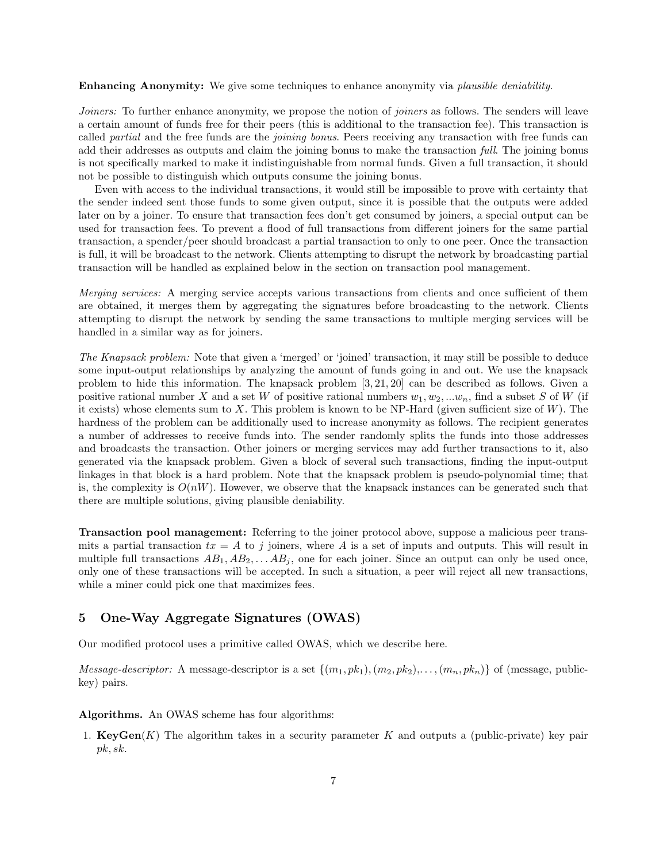Enhancing Anonymity: We give some techniques to enhance anonymity via *plausible deniability*.

Joiners: To further enhance anonymity, we propose the notion of *joiners* as follows. The senders will leave a certain amount of funds free for their peers (this is additional to the transaction fee). This transaction is called partial and the free funds are the joining bonus. Peers receiving any transaction with free funds can add their addresses as outputs and claim the joining bonus to make the transaction full. The joining bonus is not specifically marked to make it indistinguishable from normal funds. Given a full transaction, it should not be possible to distinguish which outputs consume the joining bonus.

Even with access to the individual transactions, it would still be impossible to prove with certainty that the sender indeed sent those funds to some given output, since it is possible that the outputs were added later on by a joiner. To ensure that transaction fees don't get consumed by joiners, a special output can be used for transaction fees. To prevent a flood of full transactions from different joiners for the same partial transaction, a spender/peer should broadcast a partial transaction to only to one peer. Once the transaction is full, it will be broadcast to the network. Clients attempting to disrupt the network by broadcasting partial transaction will be handled as explained below in the section on transaction pool management.

Merging services: A merging service accepts various transactions from clients and once sufficient of them are obtained, it merges them by aggregating the signatures before broadcasting to the network. Clients attempting to disrupt the network by sending the same transactions to multiple merging services will be handled in a similar way as for joiners.

The Knapsack problem: Note that given a 'merged' or 'joined' transaction, it may still be possible to deduce some input-output relationships by analyzing the amount of funds going in and out. We use the knapsack problem to hide this information. The knapsack problem [3, 21, 20] can be described as follows. Given a positive rational number X and a set W of positive rational numbers  $w_1, w_2, ... w_n$ , find a subset S of W (if it exists) whose elements sum to X. This problem is known to be NP-Hard (given sufficient size of  $W$ ). The hardness of the problem can be additionally used to increase anonymity as follows. The recipient generates a number of addresses to receive funds into. The sender randomly splits the funds into those addresses and broadcasts the transaction. Other joiners or merging services may add further transactions to it, also generated via the knapsack problem. Given a block of several such transactions, finding the input-output linkages in that block is a hard problem. Note that the knapsack problem is pseudo-polynomial time; that is, the complexity is  $O(nW)$ . However, we observe that the knapsack instances can be generated such that there are multiple solutions, giving plausible deniability.

Transaction pool management: Referring to the joiner protocol above, suppose a malicious peer transmits a partial transaction  $tx = A$  to j joiners, where A is a set of inputs and outputs. This will result in multiple full transactions  $AB_1, AB_2, \ldots AB_j$ , one for each joiner. Since an output can only be used once, only one of these transactions will be accepted. In such a situation, a peer will reject all new transactions, while a miner could pick one that maximizes fees.

## 5 One-Way Aggregate Signatures (OWAS)

Our modified protocol uses a primitive called OWAS, which we describe here.

*Message-descriptor:* A message-descriptor is a set  $\{(m_1, pk_1), (m_2, pk_2), \ldots, (m_n, pk_n)\}\$  of (message, publickey) pairs.

Algorithms. An OWAS scheme has four algorithms:

1.  $KeyGen(K)$  The algorithm takes in a security parameter K and outputs a (public-private) key pair pk, sk.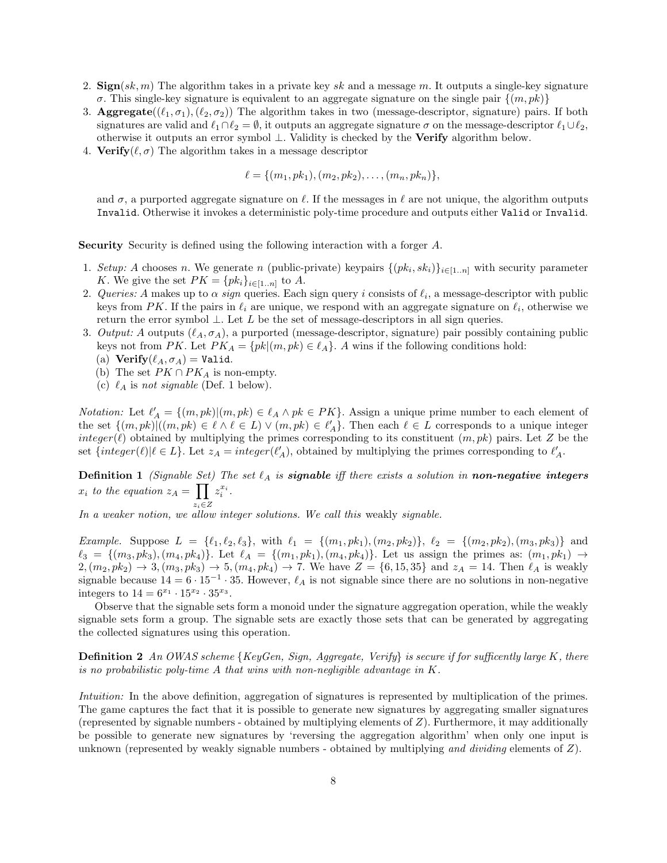- 2. Sign(sk, m) The algorithm takes in a private key sk and a message m. It outputs a single-key signature σ. This single-key signature is equivalent to an aggregate signature on the single pair  $\{(m, pk)\}$
- 3. Aggregate( $(\ell_1, \sigma_1), (\ell_2, \sigma_2)$ ) The algorithm takes in two (message-descriptor, signature) pairs. If both signatures are valid and  $\ell_1 \cap \ell_2 = \emptyset$ , it outputs an aggregate signature  $\sigma$  on the message-descriptor  $\ell_1 \cup \ell_2$ , otherwise it outputs an error symbol ⊥. Validity is checked by the Verify algorithm below.
- 4. Verify( $\ell, \sigma$ ) The algorithm takes in a message descriptor

$$
\ell = \{(m_1, pk_1), (m_2, pk_2), \ldots, (m_n, pk_n)\},\
$$

and  $\sigma$ , a purported aggregate signature on  $\ell$ . If the messages in  $\ell$  are not unique, the algorithm outputs Invalid. Otherwise it invokes a deterministic poly-time procedure and outputs either Valid or Invalid.

Security Security is defined using the following interaction with a forger A.

- 1. Setup: A chooses n. We generate n (public-private) keypairs  $\{(pk_i, sk_i)\}_{i \in [1..n]}$  with security parameter K. We give the set  $PK = \{pk_i\}_{i \in [1..n]}$  to A.
- 2. Queries: A makes up to  $\alpha$  sign queries. Each sign query i consists of  $\ell_i$ , a message-descriptor with public keys from PK. If the pairs in  $\ell_i$  are unique, we respond with an aggregate signature on  $\ell_i$ , otherwise we return the error symbol  $\perp$ . Let L be the set of message-descriptors in all sign queries.
- 3. Output: A outputs  $(\ell_A, \sigma_A)$ , a purported (message-descriptor, signature) pair possibly containing public keys not from PK. Let  $PK_A = \{pk | (m, pk) \in \ell_A \}$ . A wins if the following conditions hold:
	- (a) Verify $(\ell_A, \sigma_A) =$  Valid.
	- (b) The set  $PK \cap PK_A$  is non-empty.
	- (c)  $\ell_A$  is not signable (Def. 1 below).

*Notation:* Let  $\ell'_A = \{(m, pk) | (m, pk) \in \ell_A \land pk \in PK\}$ . Assign a unique prime number to each element of the set  $\{(m, pk) \mid ((m, pk) \in \ell \land \ell \in L) \lor (m, pk) \in \ell'_{A}\}.$  Then each  $\ell \in L$  corresponds to a unique integer integer( $\ell$ ) obtained by multiplying the primes corresponding to its constituent  $(m, pk)$  pairs. Let Z be the set  $\{integer(\ell)| \ell \in L\}$ . Let  $z_A = integer(\ell'_A)$ , obtained by multiplying the primes corresponding to  $\ell'_A$ .

**Definition 1** (Signable Set) The set  $\ell_A$  is **signable** iff there exists a solution in **non-negative integers**  $x_i$  to the equation  $z_A = \prod z_i^{x_i}$ .

 $z_i ∈ Z$ <br>In a weaker notion, we allow integer solutions. We call this weakly signable.

Example. Suppose  $L = \{\ell_1, \ell_2, \ell_3\}$ , with  $\ell_1 = \{(m_1, pk_1), (m_2, pk_2)\}$ ,  $\ell_2 = \{(m_2, pk_2), (m_3, pk_3)\}$  and  $\ell_3 = \{(m_3, pk_3), (m_4, pk_4)\}.$  Let  $\ell_A = \{(m_1, pk_1), (m_4, pk_4)\}.$  Let us assign the primes as:  $(m_1, pk_1) \rightarrow$  $2,(m_2, pk_2) \rightarrow 3,(m_3, pk_3) \rightarrow 5,(m_4, pk_4) \rightarrow 7$ . We have  $Z = \{6, 15, 35\}$  and  $z_A = 14$ . Then  $\ell_A$  is weakly signable because  $14 = 6 \cdot 15^{-1} \cdot 35$ . However,  $\ell_A$  is not signable since there are no solutions in non-negative integers to  $14 = 6^{x_1} \cdot 15^{x_2} \cdot 35^{x_3}$ .

Observe that the signable sets form a monoid under the signature aggregation operation, while the weakly signable sets form a group. The signable sets are exactly those sets that can be generated by aggregating the collected signatures using this operation.

**Definition 2** An OWAS scheme {KeyGen, Sign, Aggregate, Verify} is secure if for sufficently large K, there is no probabilistic poly-time A that wins with non-negligible advantage in  $K$ .

Intuition: In the above definition, aggregation of signatures is represented by multiplication of the primes. The game captures the fact that it is possible to generate new signatures by aggregating smaller signatures (represented by signable numbers - obtained by multiplying elements of Z). Furthermore, it may additionally be possible to generate new signatures by 'reversing the aggregation algorithm' when only one input is unknown (represented by weakly signable numbers - obtained by multiplying and dividing elements of Z).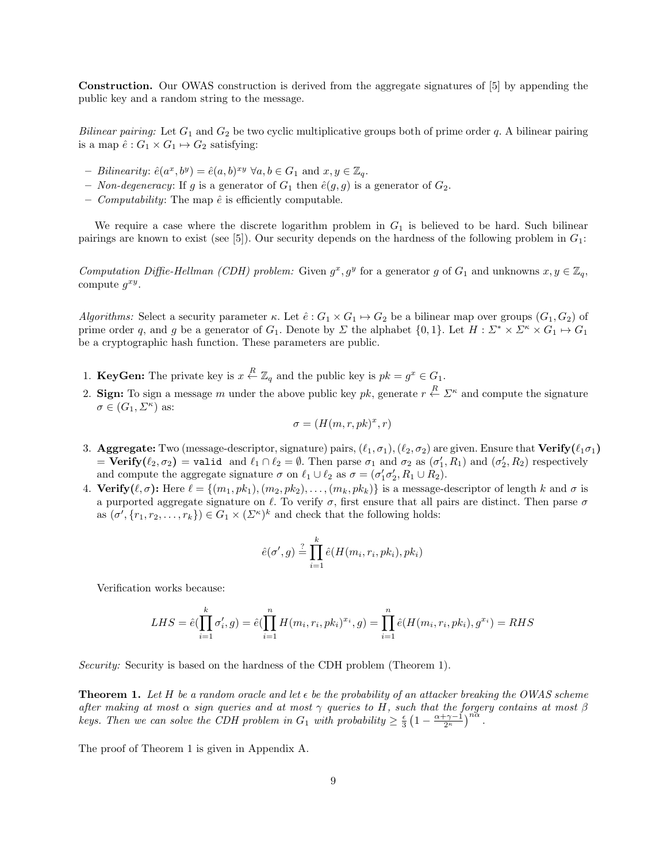Construction. Our OWAS construction is derived from the aggregate signatures of [5] by appending the public key and a random string to the message.

Bilinear pairing: Let  $G_1$  and  $G_2$  be two cyclic multiplicative groups both of prime order q. A bilinear pairing is a map  $\hat{e}: G_1 \times G_1 \mapsto G_2$  satisfying:

- Bilinearity:  $\hat{e}(a^x, b^y) = \hat{e}(a, b)^{xy} \ \forall a, b \in G_1 \text{ and } x, y \in \mathbb{Z}_q$ .
- Non-degeneracy: If g is a generator of  $G_1$  then  $\hat{e}(g, g)$  is a generator of  $G_2$ .
- *Computability*: The map  $\hat{e}$  is efficiently computable.

We require a case where the discrete logarithm problem in  $G_1$  is believed to be hard. Such bilinear pairings are known to exist (see [5]). Our security depends on the hardness of the following problem in  $G_1$ :

Computation Diffie-Hellman (CDH) problem: Given  $g^x, g^y$  for a generator g of  $G_1$  and unknowns  $x, y \in \mathbb{Z}_q$ , compute  $g^{xy}$ .

Algorithms: Select a security parameter κ. Let  $\hat{e}: G_1 \times G_1 \mapsto G_2$  be a bilinear map over groups  $(G_1, G_2)$  of prime order q, and g be a generator of  $G_1$ . Denote by  $\Sigma$  the alphabet  $\{0,1\}$ . Let  $H: \Sigma^* \times \Sigma^* \times G_1 \mapsto G_1$ be a cryptographic hash function. These parameters are public.

- 1. KeyGen: The private key is  $x \stackrel{R}{\leftarrow} \mathbb{Z}_q$  and the public key is  $pk = g^x \in G_1$ .
- 2. Sign: To sign a message m under the above public key pk, generate  $r \stackrel{R}{\leftarrow} \Sigma^{\kappa}$  and compute the signature  $\sigma \in (G_1, \Sigma^{\kappa})$  as:

$$
\sigma = (H(m, r, pk)^x, r)
$$

- 3. Aggregate: Two (message-descriptor, signature) pairs,  $(\ell_1, \sigma_1),(\ell_2, \sigma_2)$  are given. Ensure that Verify $(\ell_1\sigma_1)$ =  $Verify(\ell_2, \sigma_2)$  = valid and  $\ell_1 \cap \ell_2 = \emptyset$ . Then parse  $\sigma_1$  and  $\sigma_2$  as  $(\sigma'_1, R_1)$  and  $(\sigma'_2, R_2)$  respectively and compute the aggregate signature  $\sigma$  on  $\ell_1 \cup \ell_2$  as  $\sigma = (\sigma'_1 \sigma'_2, R_1 \cup R_2)$ .
- 4. Verify $(\ell, \sigma)$ : Here  $\ell = \{(m_1, pk_1), (m_2, pk_2), \ldots, (m_k, pk_k)\}\$ is a message-descriptor of length k and  $\sigma$  is a purported aggregate signature on  $\ell$ . To verify  $\sigma$ , first ensure that all pairs are distinct. Then parse  $\sigma$ as  $(\sigma', \{r_1, r_2, \ldots, r_k\}) \in G_1 \times (\Sigma^{\kappa})^k$  and check that the following holds:

$$
\hat{e}(\sigma', g) \stackrel{?}{=} \prod_{i=1}^k \hat{e}(H(m_i, r_i, pk_i), pk_i)
$$

Verification works because:

$$
LHS = \hat{e}(\prod_{i=1}^{k} \sigma'_i, g) = \hat{e}(\prod_{i=1}^{n} H(m_i, r_i, pk_i)^{x_i}, g) = \prod_{i=1}^{n} \hat{e}(H(m_i, r_i, pk_i), g^{x_i}) = RHS
$$

Security: Security is based on the hardness of the CDH problem (Theorem 1).

**Theorem 1.** Let H be a random oracle and let  $\epsilon$  be the probability of an attacker breaking the OWAS scheme after making at most  $\alpha$  sign queries and at most  $\gamma$  queries to H, such that the forgery contains at most  $\beta$ keys. Then we can solve the CDH problem in  $G_1$  with probability  $\geq \frac{\epsilon}{3} \left(1 - \frac{\alpha + \gamma - 1}{2^{\kappa}}\right)^{n\alpha}$ .

The proof of Theorem 1 is given in Appendix A.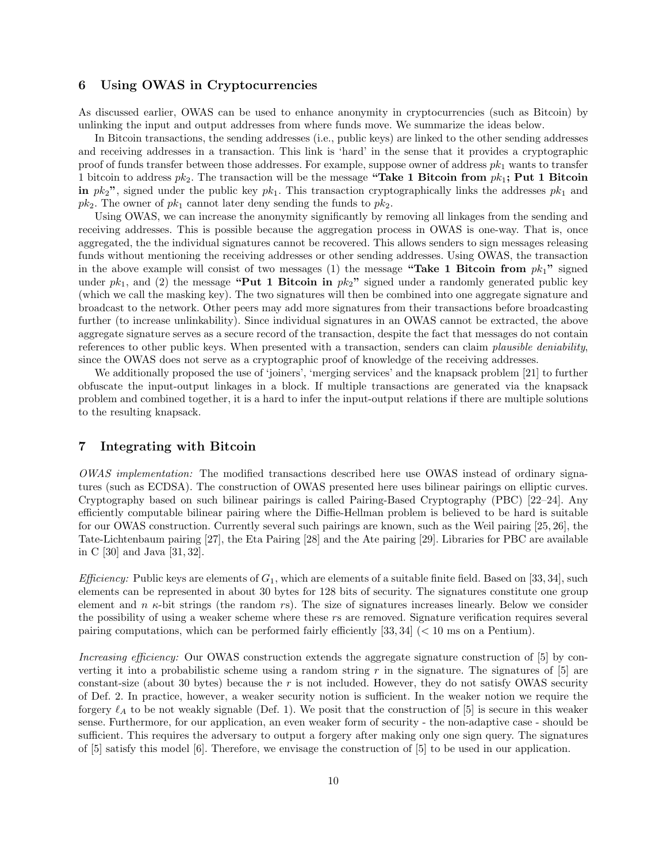#### 6 Using OWAS in Cryptocurrencies

As discussed earlier, OWAS can be used to enhance anonymity in cryptocurrencies (such as Bitcoin) by unlinking the input and output addresses from where funds move. We summarize the ideas below.

In Bitcoin transactions, the sending addresses (i.e., public keys) are linked to the other sending addresses and receiving addresses in a transaction. This link is 'hard' in the sense that it provides a cryptographic proof of funds transfer between those addresses. For example, suppose owner of address  $pk<sub>1</sub>$  wants to transfer 1 bitcoin to address  $pk_2$ . The transaction will be the message "Take 1 Bitcoin from  $pk_1$ ; Put 1 Bitcoin in  $pk_2$ ", signed under the public key  $pk_1$ . This transaction cryptographically links the addresses  $pk_1$  and  $pk_2$ . The owner of  $pk_1$  cannot later deny sending the funds to  $pk_2$ .

Using OWAS, we can increase the anonymity significantly by removing all linkages from the sending and receiving addresses. This is possible because the aggregation process in OWAS is one-way. That is, once aggregated, the the individual signatures cannot be recovered. This allows senders to sign messages releasing funds without mentioning the receiving addresses or other sending addresses. Using OWAS, the transaction in the above example will consist of two messages (1) the message "Take 1 Bitcoin from  $pk_1$ " signed under  $pk_1$ , and (2) the message "Put 1 Bitcoin in  $pk_2$ " signed under a randomly generated public key (which we call the masking key). The two signatures will then be combined into one aggregate signature and broadcast to the network. Other peers may add more signatures from their transactions before broadcasting further (to increase unlinkability). Since individual signatures in an OWAS cannot be extracted, the above aggregate signature serves as a secure record of the transaction, despite the fact that messages do not contain references to other public keys. When presented with a transaction, senders can claim plausible deniability, since the OWAS does not serve as a cryptographic proof of knowledge of the receiving addresses.

We additionally proposed the use of 'joiners', 'merging services' and the knapsack problem [21] to further obfuscate the input-output linkages in a block. If multiple transactions are generated via the knapsack problem and combined together, it is a hard to infer the input-output relations if there are multiple solutions to the resulting knapsack.

## 7 Integrating with Bitcoin

OWAS implementation: The modified transactions described here use OWAS instead of ordinary signatures (such as ECDSA). The construction of OWAS presented here uses bilinear pairings on elliptic curves. Cryptography based on such bilinear pairings is called Pairing-Based Cryptography (PBC) [22–24]. Any efficiently computable bilinear pairing where the Diffie-Hellman problem is believed to be hard is suitable for our OWAS construction. Currently several such pairings are known, such as the Weil pairing [25, 26], the Tate-Lichtenbaum pairing [27], the Eta Pairing [28] and the Ate pairing [29]. Libraries for PBC are available in C [30] and Java [31, 32].

*Efficiency:* Public keys are elements of  $G_1$ , which are elements of a suitable finite field. Based on [33, 34], such elements can be represented in about 30 bytes for 128 bits of security. The signatures constitute one group element and  $n \kappa$ -bit strings (the random rs). The size of signatures increases linearly. Below we consider the possibility of using a weaker scheme where these rs are removed. Signature verification requires several pairing computations, which can be performed fairly efficiently  $[33, 34]$  ( $\lt 10$  ms on a Pentium).

Increasing efficiency: Our OWAS construction extends the aggregate signature construction of [5] by converting it into a probabilistic scheme using a random string r in the signature. The signatures of  $[5]$  are constant-size (about 30 bytes) because the  $r$  is not included. However, they do not satisfy OWAS security of Def. 2. In practice, however, a weaker security notion is sufficient. In the weaker notion we require the forgery  $\ell_A$  to be not weakly signable (Def. 1). We posit that the construction of [5] is secure in this weaker sense. Furthermore, for our application, an even weaker form of security - the non-adaptive case - should be sufficient. This requires the adversary to output a forgery after making only one sign query. The signatures of [5] satisfy this model [6]. Therefore, we envisage the construction of [5] to be used in our application.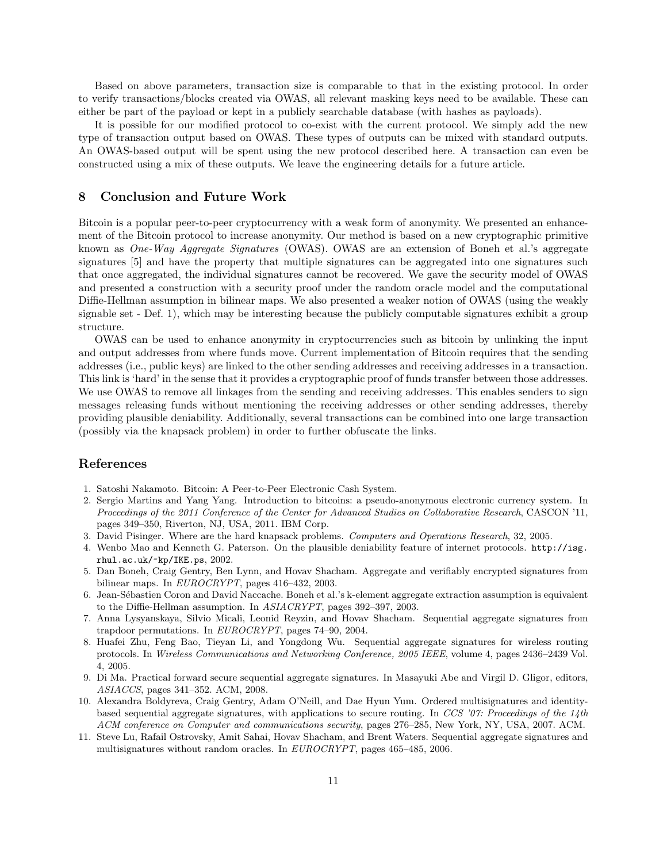Based on above parameters, transaction size is comparable to that in the existing protocol. In order to verify transactions/blocks created via OWAS, all relevant masking keys need to be available. These can either be part of the payload or kept in a publicly searchable database (with hashes as payloads).

It is possible for our modified protocol to co-exist with the current protocol. We simply add the new type of transaction output based on OWAS. These types of outputs can be mixed with standard outputs. An OWAS-based output will be spent using the new protocol described here. A transaction can even be constructed using a mix of these outputs. We leave the engineering details for a future article.

#### 8 Conclusion and Future Work

Bitcoin is a popular peer-to-peer cryptocurrency with a weak form of anonymity. We presented an enhancement of the Bitcoin protocol to increase anonymity. Our method is based on a new cryptographic primitive known as One-Way Aggregate Signatures (OWAS). OWAS are an extension of Boneh et al.'s aggregate signatures [5] and have the property that multiple signatures can be aggregated into one signatures such that once aggregated, the individual signatures cannot be recovered. We gave the security model of OWAS and presented a construction with a security proof under the random oracle model and the computational Diffie-Hellman assumption in bilinear maps. We also presented a weaker notion of OWAS (using the weakly signable set - Def. 1), which may be interesting because the publicly computable signatures exhibit a group structure.

OWAS can be used to enhance anonymity in cryptocurrencies such as bitcoin by unlinking the input and output addresses from where funds move. Current implementation of Bitcoin requires that the sending addresses (i.e., public keys) are linked to the other sending addresses and receiving addresses in a transaction. This link is 'hard' in the sense that it provides a cryptographic proof of funds transfer between those addresses. We use OWAS to remove all linkages from the sending and receiving addresses. This enables senders to sign messages releasing funds without mentioning the receiving addresses or other sending addresses, thereby providing plausible deniability. Additionally, several transactions can be combined into one large transaction (possibly via the knapsack problem) in order to further obfuscate the links.

#### References

- 1. Satoshi Nakamoto. Bitcoin: A Peer-to-Peer Electronic Cash System.
- 2. Sergio Martins and Yang Yang. Introduction to bitcoins: a pseudo-anonymous electronic currency system. In Proceedings of the 2011 Conference of the Center for Advanced Studies on Collaborative Research, CASCON '11, pages 349–350, Riverton, NJ, USA, 2011. IBM Corp.
- 3. David Pisinger. Where are the hard knapsack problems. Computers and Operations Research, 32, 2005.
- 4. Wenbo Mao and Kenneth G. Paterson. On the plausible deniability feature of internet protocols. http://isg. rhul.ac.uk/~kp/IKE.ps, 2002.
- 5. Dan Boneh, Craig Gentry, Ben Lynn, and Hovav Shacham. Aggregate and verifiably encrypted signatures from bilinear maps. In EUROCRYPT, pages 416–432, 2003.
- 6. Jean-S´ebastien Coron and David Naccache. Boneh et al.'s k-element aggregate extraction assumption is equivalent to the Diffie-Hellman assumption. In ASIACRYPT, pages 392–397, 2003.
- 7. Anna Lysyanskaya, Silvio Micali, Leonid Reyzin, and Hovav Shacham. Sequential aggregate signatures from trapdoor permutations. In EUROCRYPT, pages 74–90, 2004.
- 8. Huafei Zhu, Feng Bao, Tieyan Li, and Yongdong Wu. Sequential aggregate signatures for wireless routing protocols. In Wireless Communications and Networking Conference, 2005 IEEE, volume 4, pages 2436–2439 Vol. 4, 2005.
- 9. Di Ma. Practical forward secure sequential aggregate signatures. In Masayuki Abe and Virgil D. Gligor, editors, ASIACCS, pages 341–352. ACM, 2008.
- 10. Alexandra Boldyreva, Craig Gentry, Adam O'Neill, and Dae Hyun Yum. Ordered multisignatures and identitybased sequential aggregate signatures, with applications to secure routing. In CCS '07: Proceedings of the 14th ACM conference on Computer and communications security, pages 276–285, New York, NY, USA, 2007. ACM.
- 11. Steve Lu, Rafail Ostrovsky, Amit Sahai, Hovav Shacham, and Brent Waters. Sequential aggregate signatures and multisignatures without random oracles. In EUROCRYPT, pages 465–485, 2006.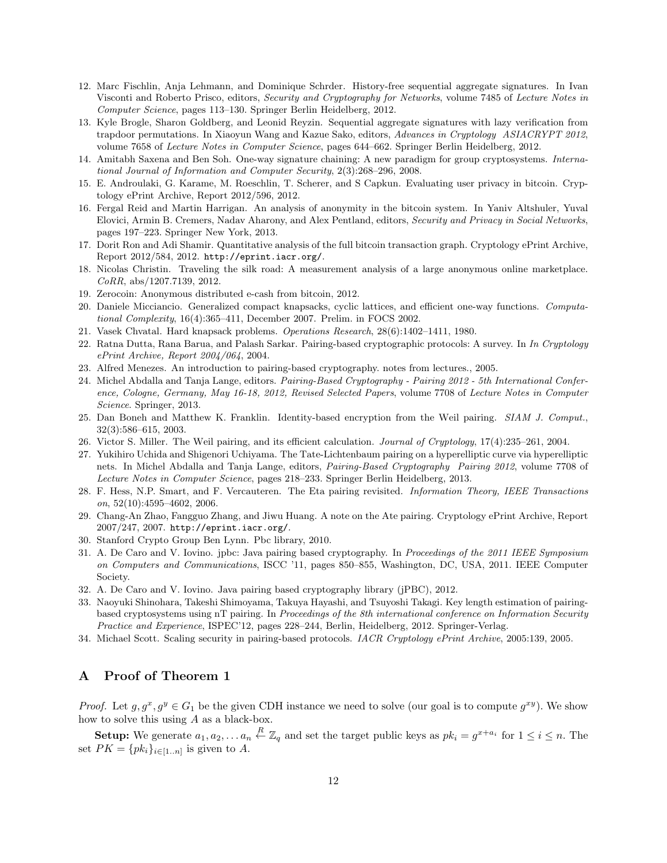- 12. Marc Fischlin, Anja Lehmann, and Dominique Schrder. History-free sequential aggregate signatures. In Ivan Visconti and Roberto Prisco, editors, Security and Cryptography for Networks, volume 7485 of Lecture Notes in Computer Science, pages 113–130. Springer Berlin Heidelberg, 2012.
- 13. Kyle Brogle, Sharon Goldberg, and Leonid Reyzin. Sequential aggregate signatures with lazy verification from trapdoor permutations. In Xiaoyun Wang and Kazue Sako, editors, Advances in Cryptology ASIACRYPT 2012, volume 7658 of Lecture Notes in Computer Science, pages 644–662. Springer Berlin Heidelberg, 2012.
- 14. Amitabh Saxena and Ben Soh. One-way signature chaining: A new paradigm for group cryptosystems. International Journal of Information and Computer Security, 2(3):268–296, 2008.
- 15. E. Androulaki, G. Karame, M. Roeschlin, T. Scherer, and S Capkun. Evaluating user privacy in bitcoin. Cryptology ePrint Archive, Report 2012/596, 2012.
- 16. Fergal Reid and Martin Harrigan. An analysis of anonymity in the bitcoin system. In Yaniv Altshuler, Yuval Elovici, Armin B. Cremers, Nadav Aharony, and Alex Pentland, editors, Security and Privacy in Social Networks, pages 197–223. Springer New York, 2013.
- 17. Dorit Ron and Adi Shamir. Quantitative analysis of the full bitcoin transaction graph. Cryptology ePrint Archive, Report 2012/584, 2012. http://eprint.iacr.org/.
- 18. Nicolas Christin. Traveling the silk road: A measurement analysis of a large anonymous online marketplace. CoRR, abs/1207.7139, 2012.
- 19. Zerocoin: Anonymous distributed e-cash from bitcoin, 2012.
- 20. Daniele Micciancio. Generalized compact knapsacks, cyclic lattices, and efficient one-way functions. Computational Complexity, 16(4):365–411, December 2007. Prelim. in FOCS 2002.
- 21. Vasek Chvatal. Hard knapsack problems. Operations Research, 28(6):1402–1411, 1980.
- 22. Ratna Dutta, Rana Barua, and Palash Sarkar. Pairing-based cryptographic protocols: A survey. In In Cryptology ePrint Archive, Report 2004/064, 2004.
- 23. Alfred Menezes. An introduction to pairing-based cryptography. notes from lectures., 2005.
- 24. Michel Abdalla and Tanja Lange, editors. Pairing-Based Cryptography Pairing 2012 5th International Conference, Cologne, Germany, May 16-18, 2012, Revised Selected Papers, volume 7708 of Lecture Notes in Computer Science. Springer, 2013.
- 25. Dan Boneh and Matthew K. Franklin. Identity-based encryption from the Weil pairing. SIAM J. Comput., 32(3):586–615, 2003.
- 26. Victor S. Miller. The Weil pairing, and its efficient calculation. Journal of Cryptology, 17(4):235–261, 2004.
- 27. Yukihiro Uchida and Shigenori Uchiyama. The Tate-Lichtenbaum pairing on a hyperelliptic curve via hyperelliptic nets. In Michel Abdalla and Tanja Lange, editors, Pairing-Based Cryptography Pairing 2012, volume 7708 of Lecture Notes in Computer Science, pages 218–233. Springer Berlin Heidelberg, 2013.
- 28. F. Hess, N.P. Smart, and F. Vercauteren. The Eta pairing revisited. Information Theory, IEEE Transactions on, 52(10):4595–4602, 2006.
- 29. Chang-An Zhao, Fangguo Zhang, and Jiwu Huang. A note on the Ate pairing. Cryptology ePrint Archive, Report 2007/247, 2007. http://eprint.iacr.org/.
- 30. Stanford Crypto Group Ben Lynn. Pbc library, 2010.
- 31. A. De Caro and V. Iovino. jpbc: Java pairing based cryptography. In Proceedings of the 2011 IEEE Symposium on Computers and Communications, ISCC '11, pages 850–855, Washington, DC, USA, 2011. IEEE Computer Society.
- 32. A. De Caro and V. Iovino. Java pairing based cryptography library (jPBC), 2012.
- 33. Naoyuki Shinohara, Takeshi Shimoyama, Takuya Hayashi, and Tsuyoshi Takagi. Key length estimation of pairingbased cryptosystems using nT pairing. In Proceedings of the 8th international conference on Information Security Practice and Experience, ISPEC'12, pages 228–244, Berlin, Heidelberg, 2012. Springer-Verlag.
- 34. Michael Scott. Scaling security in pairing-based protocols. IACR Cryptology ePrint Archive, 2005:139, 2005.

#### A Proof of Theorem 1

*Proof.* Let  $g, g^x, g^y \in G_1$  be the given CDH instance we need to solve (our goal is to compute  $g^{xy}$ ). We show how to solve this using A as a black-box.

**Setup:** We generate  $a_1, a_2, \ldots a_n \stackrel{R}{\leftarrow} \mathbb{Z}_q$  and set the target public keys as  $pk_i = g^{x+a_i}$  for  $1 \leq i \leq n$ . The set  $PK = \{pk_i\}_{i \in [1..n]}$  is given to A.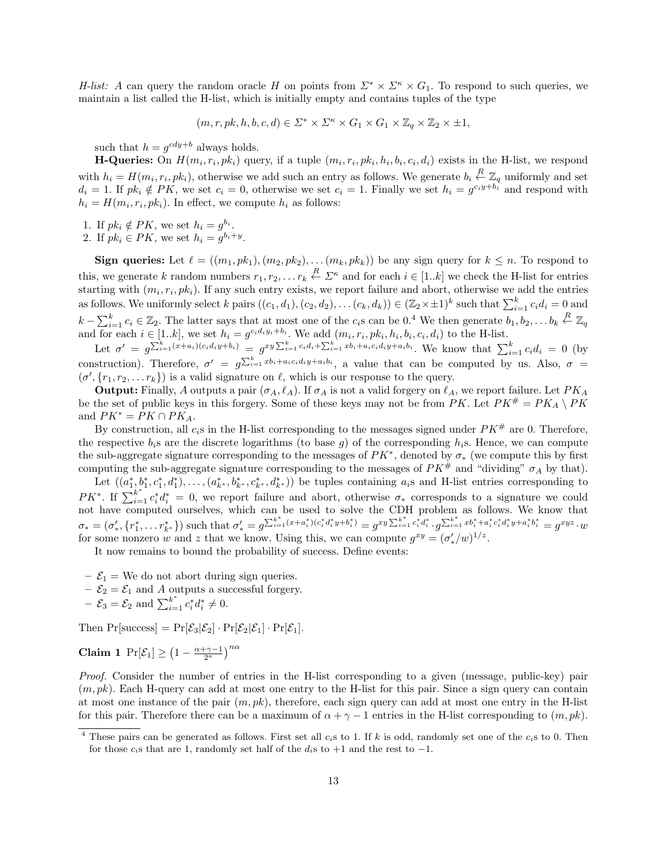H-list: A can query the random oracle H on points from  $\Sigma^* \times \Sigma^* \times G_1$ . To respond to such queries, we maintain a list called the H-list, which is initially empty and contains tuples of the type

$$
(m,r,pk,h,b,c,d) \in \Sigma^* \times \Sigma^* \times G_1 \times G_1 \times \mathbb{Z}_q \times \mathbb{Z}_2 \times \pm 1,
$$

such that  $h = g^{cdy+b}$  always holds.

**H-Queries:** On  $H(m_i, r_i, pk_i)$  query, if a tuple  $(m_i, r_i, pk_i, h_i, b_i, c_i, d_i)$  exists in the H-list, we respond with  $h_i = H(m_i, r_i, pk_i)$ , otherwise we add such an entry as follows. We generate  $b_i \stackrel{R}{\leftarrow} \mathbb{Z}_q$  uniformly and set  $d_i = 1$ . If  $pk_i \notin PK$ , we set  $c_i = 0$ , otherwise we set  $c_i = 1$ . Finally we set  $h_i = g^{c_i y + b_i}$  and respond with  $h_i = H(m_i, r_i, pk_i)$ . In effect, we compute  $h_i$  as follows:

- 1. If  $pk_i \notin PK$ , we set  $h_i = g^{b_i}$ .
- 2. If  $pk_i \in PK$ , we set  $h_i = g^{b_i+y}$ .

**Sign queries:** Let  $\ell = ((m_1, pk_1), (m_2, pk_2), \ldots (m_k, pk_k))$  be any sign query for  $k \leq n$ . To respond to this, we generate k random numbers  $r_1, r_2, \ldots r_k \stackrel{R}{\leftarrow} \Sigma^{\kappa}$  and for each  $i \in [1..k]$  we check the H-list for entries starting with  $(m_i, r_i, p k_i)$ . If any such entry exists, we report failure and abort, otherwise we add the entries as follows. We uniformly select k pairs  $((c_1, d_1), (c_2, d_2), \ldots (c_k, d_k)) \in (\mathbb{Z}_2 \times \pm 1)^k$  such that  $\sum_{i=1}^k c_i d_i = 0$  and  $k - \sum_{i=1}^{k} c_i \in \mathbb{Z}_2$ . The latter says that at most one of the  $c_i$ s can be 0.<sup>4</sup> We then generate  $b_1, b_2, \ldots b_k \stackrel{R}{\leftarrow} \mathbb{Z}_q$ and for each  $i \in [1..k]$ , we set  $h_i = g^{c_i d_i y_i + b_i}$ . We add  $(m_i, r_i, pk_i, h_i, b_i, c_i, d_i)$  to the H-list.

Let  $\sigma' = g^{\sum_{i=1}^k (x+a_i)(c_i d_i y+b_i)} = g^{xy \sum_{i=1}^k c_i d_i + \sum_{i=1}^k x b_i + a_i c_i d_i y+a_i b_i}$ . We know that  $\sum_{i=1}^k c_i d_i = 0$  (by construction). Therefore,  $\sigma' = g^{\sum_{i=1}^k x b_i + a_i c_i d_i y + a_i b_i}$ , a value that can be computed by us. Also,  $\sigma =$  $(\sigma', \{r_1, r_2, \ldots r_k\})$  is a valid signature on  $\ell$ , which is our response to the query.

**Output:** Finally, A outputs a pair  $(\sigma_A, \ell_A)$ . If  $\sigma_A$  is not a valid forgery on  $\ell_A$ , we report failure. Let  $PK_A$ be the set of public keys in this forgery. Some of these keys may not be from PK. Let  $PK^{\#} = PK_A \setminus PK$ and  $PK^* = PK \cap PK_A$ .

By construction, all  $c_i$ s in the H-list corresponding to the messages signed under  $PK^{\#}$  are 0. Therefore, the respective  $b_i$ s are the discrete logarithms (to base g) of the corresponding  $h_i$ s. Hence, we can compute the sub-aggregate signature corresponding to the messages of  $PK^*$ , denoted by  $\sigma_*$  (we compute this by first computing the sub-aggregate signature corresponding to the messages of  $PK^{\#}$  and "dividing"  $\sigma_A$  by that).

Let  $((a_1^*, b_1^*, c_1^*, d_1^*), \ldots, (a_{k^*}^*, b_{k^*}^*, c_{k^*}^*, d_{k^*}^*))$  be tuples containing  $a_i$ s and H-list entries corresponding to PK<sup>\*</sup>. If  $\sum_{i=1}^{k^*} c_i^* d_i^* = 0$ , we report failure and abort, otherwise  $\sigma_*$  corresponds to a signature we could not have computed ourselves, which can be used to solve the CDH problem as follows. We know that  $\sigma_* = (\sigma'_*, \{r_1^*, \ldots r_{k^*}^*\})$  such that  $\sigma'_* = g^{\sum_{i=1}^{k^*} (x + a_i^*)(c_i^* d_i^* y + b_i^*)} = g^{xy \sum_{i=1}^{k^*} c_i^* d_i^*} \cdot g^{\sum_{i=1}^{k^*} x b_i^* + a_i^* c_i^* d_i^* y + a_i^* b_i^*} = g^{xyz} \cdot w$ for some nonzero w and z that we know. Using this, we can compute  $g^{xy} = (\sigma'_*/w)^{1/z}$ .

It now remains to bound the probability of success. Define events:

- $-\mathcal{E}_1$  = We do not abort during sign queries.
- $-\mathcal{E}_2 = \mathcal{E}_1$  and A outputs a successful forgery.
- $-\mathcal{E}_3 = \mathcal{E}_2$  and  $\sum_{i=1}^{k^*} c_i^* d_i^* \neq 0$ .

Then  $Pr[\text{success}] = Pr[\mathcal{E}_3|\mathcal{E}_2] \cdot Pr[\mathcal{E}_2|\mathcal{E}_1] \cdot Pr[\mathcal{E}_1]$ .

$$
Claim 1 \ \Pr[\mathcal{E}_1] \ge \left(1 - \frac{\alpha + \gamma - 1}{2^{\kappa}}\right)^{n\alpha}
$$

Proof. Consider the number of entries in the H-list corresponding to a given (message, public-key) pair  $(m, pk)$ . Each H-query can add at most one entry to the H-list for this pair. Since a sign query can contain at most one instance of the pair  $(m, pk)$ , therefore, each sign query can add at most one entry in the H-list for this pair. Therefore there can be a maximum of  $\alpha + \gamma - 1$  entries in the H-list corresponding to  $(m, pk)$ .

<sup>&</sup>lt;sup>4</sup> These pairs can be generated as follows. First set all  $c_i$ s to 1. If k is odd, randomly set one of the  $c_i$ s to 0. Then for those  $c_i$ s that are 1, randomly set half of the  $d_i$ s to +1 and the rest to -1.